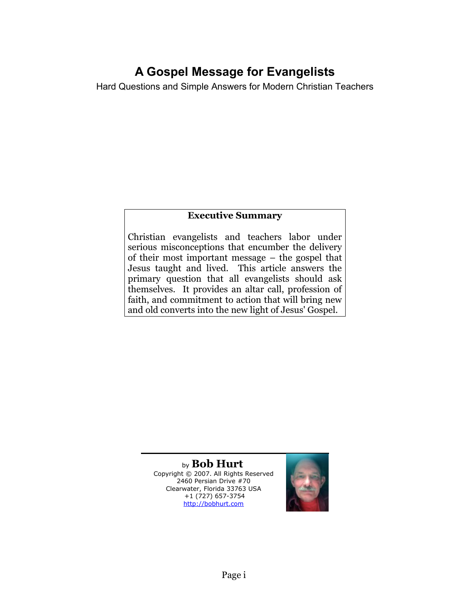## **A Gospel Message for Evangelists**

Hard Questions and Simple Answers for Modern Christian Teachers

#### **Executive Summary**

Christian evangelists and teachers labor under serious misconceptions that encumber the delivery of their most important message – the gospel that Jesus taught and lived. This article answers the primary question that all evangelists should ask themselves. It provides an altar call, profession of faith, and commitment to action that will bring new and old converts into the new light of Jesus' Gospel.

> by **Bob Hurt** Copyright © 2007. All Rights Reserved 2460 Persian Drive #70 Clearwater, Florida 33763 USA +1 (727) 657-3754 [http://bobhurt.com](http://bobhurt.com/)

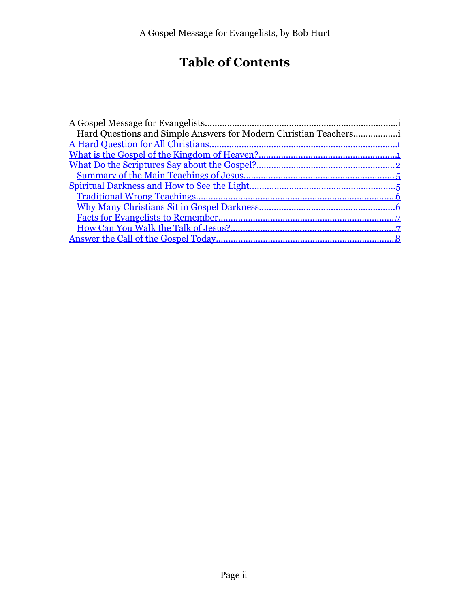# **Table of Contents**

| Hard Questions and Simple Answers for Modern Christian Teachers |  |
|-----------------------------------------------------------------|--|
|                                                                 |  |
|                                                                 |  |
|                                                                 |  |
|                                                                 |  |
|                                                                 |  |
|                                                                 |  |
|                                                                 |  |
|                                                                 |  |
|                                                                 |  |
|                                                                 |  |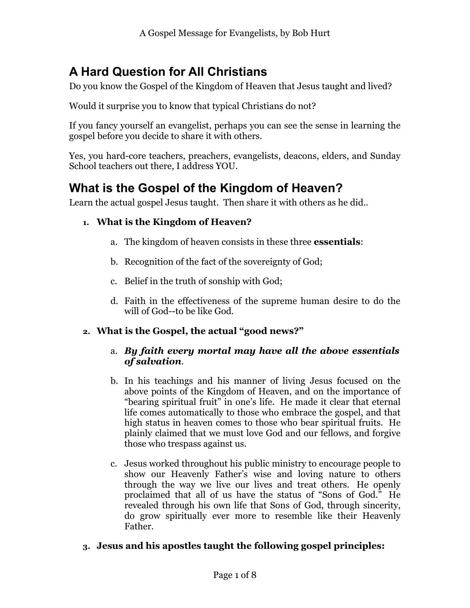## <span id="page-2-0"></span>**A Hard Question for All Christians**

Do you know the Gospel of the Kingdom of Heaven that Jesus taught and lived?

Would it surprise you to know that typical Christians do not?

If you fancy yourself an evangelist, perhaps you can see the sense in learning the gospel before you decide to share it with others.

Yes, you hard-core teachers, preachers, evangelists, deacons, elders, and Sunday School teachers out there, I address YOU.

## <span id="page-2-1"></span>**What is the Gospel of the Kingdom of Heaven?**

Learn the actual gospel Jesus taught. Then share it with others as he did..

#### **1. What is the Kingdom of Heaven?**

- a. The kingdom of heaven consists in these three **essentials**:
- b. Recognition of the fact of the sovereignty of God;
- c. Belief in the truth of sonship with God;
- d. Faith in the effectiveness of the supreme human desire to do the will of God--to be like God.

#### **2. What is the Gospel, the actual "good news?"**

#### a. *By faith every mortal may have all the above essentials of salvation*.

- b. In his teachings and his manner of living Jesus focused on the above points of the Kingdom of Heaven, and on the importance of "bearing spiritual fruit" in one's life. He made it clear that eternal life comes automatically to those who embrace the gospel, and that high status in heaven comes to those who bear spiritual fruits. He plainly claimed that we must love God and our fellows, and forgive those who trespass against us.
- c. Jesus worked throughout his public ministry to encourage people to show our Heavenly Father's wise and loving nature to others through the way we live our lives and treat others. He openly proclaimed that all of us have the status of "Sons of God." He revealed through his own life that Sons of God, through sincerity, do grow spiritually ever more to resemble like their Heavenly Father.

#### **3. Jesus and his apostles taught the following gospel principles:**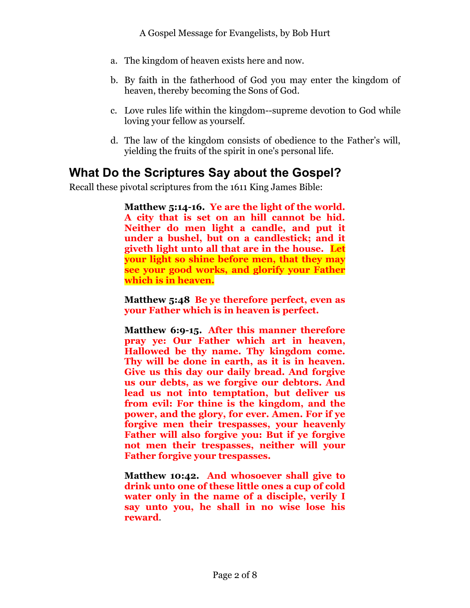- a. The kingdom of heaven exists here and now.
- b. By faith in the fatherhood of God you may enter the kingdom of heaven, thereby becoming the Sons of God.
- c. Love rules life within the kingdom--supreme devotion to God while loving your fellow as yourself.
- d. The law of the kingdom consists of obedience to the Father's will, yielding the fruits of the spirit in one's personal life.

### <span id="page-3-0"></span>**What Do the Scriptures Say about the Gospel?**

Recall these pivotal scriptures from the 1611 King James Bible:

**Matthew 5:14-16. Ye are the light of the world. A city that is set on an hill cannot be hid. Neither do men light a candle, and put it under a bushel, but on a candlestick; and it giveth light unto all that are in the house. Let your light so shine before men, that they may see your good works, and glorify your Father which is in heaven.**

**Matthew 5:48 Be ye therefore perfect, even as your Father which is in heaven is perfect.**

**Matthew 6:9-15. After this manner therefore pray ye: Our Father which art in heaven, Hallowed be thy name. Thy kingdom come. Thy will be done in earth, as it is in heaven. Give us this day our daily bread. And forgive us our debts, as we forgive our debtors. And lead us not into temptation, but deliver us from evil: For thine is the kingdom, and the power, and the glory, for ever. Amen. For if ye forgive men their trespasses, your heavenly Father will also forgive you: But if ye forgive not men their trespasses, neither will your Father forgive your trespasses.**

**Matthew 10:42. And whosoever shall give to drink unto one of these little ones a cup of cold water only in the name of a disciple, verily I say unto you, he shall in no wise lose his reward**.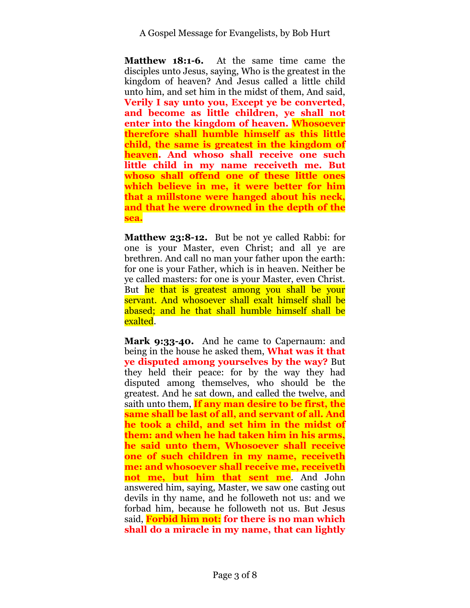**Matthew 18:1-6.** At the same time came the disciples unto Jesus, saying, Who is the greatest in the kingdom of heaven? And Jesus called a little child unto him, and set him in the midst of them, And said, **Verily I say unto you, Except ye be converted, and become as little children, ye shall not enter into the kingdom of heaven. Whosoever therefore shall humble himself as this little child, the same is greatest in the kingdom of heaven. And whoso shall receive one such little child in my name receiveth me. But whoso shall offend one of these little ones which believe in me, it were better for him that a millstone were hanged about his neck, and that he were drowned in the depth of the sea.**

**Matthew 23:8-12.** But be not ye called Rabbi: for one is your Master, even Christ; and all ye are brethren. And call no man your father upon the earth: for one is your Father, which is in heaven. Neither be ye called masters: for one is your Master, even Christ. But he that is greatest among you shall be your servant. And whosoever shall exalt himself shall be abased; and he that shall humble himself shall be exalted.

**Mark 9:33-40.** And he came to Capernaum: and being in the house he asked them, **What was it that ye disputed among yourselves by the way?** But they held their peace: for by the way they had disputed among themselves, who should be the greatest. And he sat down, and called the twelve, and saith unto them, **If any man desire to be first, the same shall be last of all, and servant of all. And he took a child, and set him in the midst of them: and when he had taken him in his arms, he said unto them, Whosoever shall receive one of such children in my name, receiveth me: and whosoever shall receive me, receiveth not me, but him that sent me**. And John answered him, saying, Master, we saw one casting out devils in thy name, and he followeth not us: and we forbad him, because he followeth not us. But Jesus said, **Forbid him not: for there is no man which shall do a miracle in my name, that can lightly**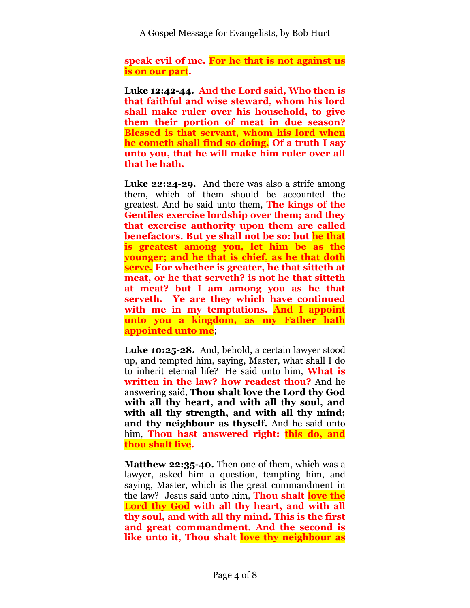**speak evil of me. For he that is not against us is on our part.**

**Luke 12:42-44. And the Lord said, Who then is that faithful and wise steward, whom his lord shall make ruler over his household, to give them their portion of meat in due season? Blessed is that servant, whom his lord when he cometh shall find so doing. Of a truth I say unto you, that he will make him ruler over all that he hath.**

**Luke 22:24-29.** And there was also a strife among them, which of them should be accounted the greatest. And he said unto them, **The kings of the Gentiles exercise lordship over them; and they that exercise authority upon them are called benefactors. But ye shall not be so: but he that is greatest among you, let him be as the younger; and he that is chief, as he that doth serve. For whether is greater, he that sitteth at meat, or he that serveth? is not he that sitteth at meat? but I am among you as he that serveth. Ye are they which have continued with me in my temptations. And I appoint unto you a kingdom, as my Father hath appointed unto me**;

**Luke 10:25-28.** And, behold, a certain lawyer stood up, and tempted him, saying, Master, what shall I do to inherit eternal life? He said unto him, **What is written in the law? how readest thou?** And he answering said, **Thou shalt love the Lord thy God with all thy heart, and with all thy soul, and with all thy strength, and with all thy mind; and thy neighbour as thyself.** And he said unto him, **Thou hast answered right: this do, and thou shalt live.**

**Matthew 22:35-40.** Then one of them, which was a lawyer, asked him a question, tempting him, and saying, Master, which is the great commandment in the law? Jesus said unto him, **Thou shalt love the Lord thy God with all thy heart, and with all thy soul, and with all thy mind. This is the first and great commandment. And the second is like unto it, Thou shalt love thy neighbour as**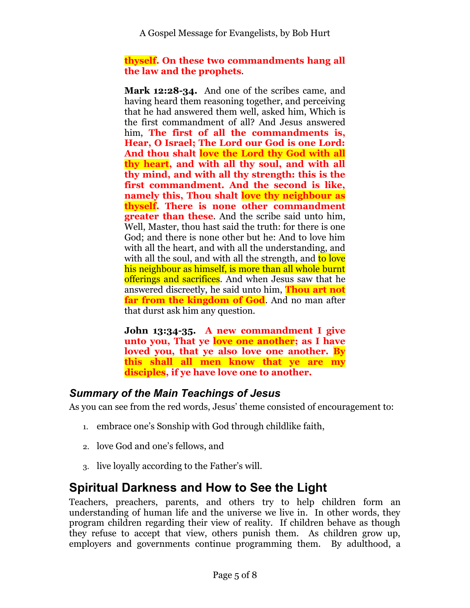A Gospel Message for Evangelists, by Bob Hurt

#### **thyself. On these two commandments hang all the law and the prophets**.

**Mark 12:28-34.** And one of the scribes came, and having heard them reasoning together, and perceiving that he had answered them well, asked him, Which is the first commandment of all? And Jesus answered him, **The first of all the commandments is, Hear, O Israel; The Lord our God is one Lord: And thou shalt love the Lord thy God with all thy heart, and with all thy soul, and with all thy mind, and with all thy strength: this is the first commandment. And the second is like, namely this, Thou shalt love thy neighbour as thyself. There is none other commandment greater than these**. And the scribe said unto him, Well, Master, thou hast said the truth: for there is one God; and there is none other but he: And to love him with all the heart, and with all the understanding, and with all the soul, and with all the strength, and to love his neighbour as himself, is more than all whole burnt offerings and sacrifices. And when Jesus saw that he answered discreetly, he said unto him, **Thou art not far from the kingdom of God**. And no man after that durst ask him any question.

**John 13:34-35. A new commandment I give unto you, That ye love one another; as I have loved you, that ye also love one another. By this shall all men know that ye are my disciples, if ye have love one to another.**

### <span id="page-6-1"></span>*Summary of the Main Teachings of Jesus*

As you can see from the red words, Jesus' theme consisted of encouragement to:

- 1. embrace one's Sonship with God through childlike faith,
- 2. love God and one's fellows, and
- 3. live loyally according to the Father's will.

## <span id="page-6-0"></span>**Spiritual Darkness and How to See the Light**

Teachers, preachers, parents, and others try to help children form an understanding of human life and the universe we live in. In other words, they program children regarding their view of reality. If children behave as though they refuse to accept that view, others punish them. As children grow up, employers and governments continue programming them. By adulthood, a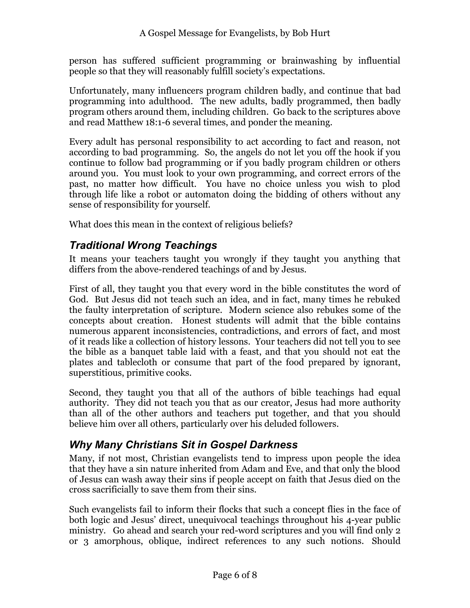person has suffered sufficient programming or brainwashing by influential people so that they will reasonably fulfill society's expectations.

Unfortunately, many influencers program children badly, and continue that bad programming into adulthood. The new adults, badly programmed, then badly program others around them, including children. Go back to the scriptures above and read Matthew 18:1-6 several times, and ponder the meaning.

Every adult has personal responsibility to act according to fact and reason, not according to bad programming. So, the angels do not let you off the hook if you continue to follow bad programming or if you badly program children or others around you. You must look to your own programming, and correct errors of the past, no matter how difficult. You have no choice unless you wish to plod through life like a robot or automaton doing the bidding of others without any sense of responsibility for yourself.

What does this mean in the context of religious beliefs?

### <span id="page-7-1"></span>*Traditional Wrong Teachings*

It means your teachers taught you wrongly if they taught you anything that differs from the above-rendered teachings of and by Jesus.

First of all, they taught you that every word in the bible constitutes the word of God. But Jesus did not teach such an idea, and in fact, many times he rebuked the faulty interpretation of scripture. Modern science also rebukes some of the concepts about creation. Honest students will admit that the bible contains numerous apparent inconsistencies, contradictions, and errors of fact, and most of it reads like a collection of history lessons. Your teachers did not tell you to see the bible as a banquet table laid with a feast, and that you should not eat the plates and tablecloth or consume that part of the food prepared by ignorant, superstitious, primitive cooks.

Second, they taught you that all of the authors of bible teachings had equal authority. They did not teach you that as our creator, Jesus had more authority than all of the other authors and teachers put together, and that you should believe him over all others, particularly over his deluded followers.

### <span id="page-7-0"></span>*Why Many Christians Sit in Gospel Darkness*

Many, if not most, Christian evangelists tend to impress upon people the idea that they have a sin nature inherited from Adam and Eve, and that only the blood of Jesus can wash away their sins if people accept on faith that Jesus died on the cross sacrificially to save them from their sins.

Such evangelists fail to inform their flocks that such a concept flies in the face of both logic and Jesus' direct, unequivocal teachings throughout his 4-year public ministry. Go ahead and search your red-word scriptures and you will find only 2 or 3 amorphous, oblique, indirect references to any such notions. Should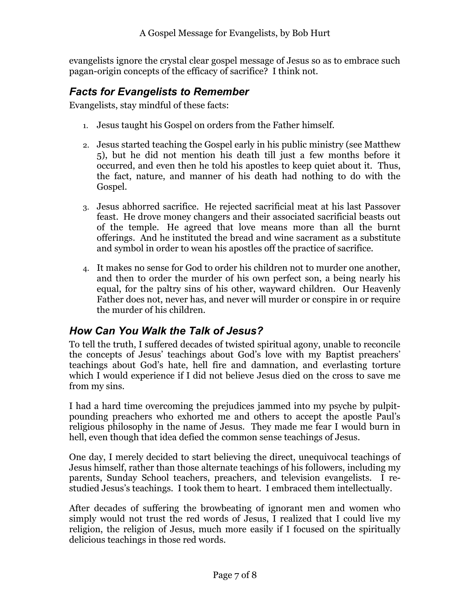evangelists ignore the crystal clear gospel message of Jesus so as to embrace such pagan-origin concepts of the efficacy of sacrifice? I think not.

### <span id="page-8-1"></span>*Facts for Evangelists to Remember*

Evangelists, stay mindful of these facts:

- 1. Jesus taught his Gospel on orders from the Father himself.
- 2. Jesus started teaching the Gospel early in his public ministry (see Matthew 5), but he did not mention his death till just a few months before it occurred, and even then he told his apostles to keep quiet about it. Thus, the fact, nature, and manner of his death had nothing to do with the Gospel.
- 3. Jesus abhorred sacrifice. He rejected sacrificial meat at his last Passover feast. He drove money changers and their associated sacrificial beasts out of the temple. He agreed that love means more than all the burnt offerings. And he instituted the bread and wine sacrament as a substitute and symbol in order to wean his apostles off the practice of sacrifice.
- 4. It makes no sense for God to order his children not to murder one another, and then to order the murder of his own perfect son, a being nearly his equal, for the paltry sins of his other, wayward children. Our Heavenly Father does not, never has, and never will murder or conspire in or require the murder of his children.

### <span id="page-8-0"></span>*How Can You Walk the Talk of Jesus?*

To tell the truth, I suffered decades of twisted spiritual agony, unable to reconcile the concepts of Jesus' teachings about God's love with my Baptist preachers' teachings about God's hate, hell fire and damnation, and everlasting torture which I would experience if I did not believe Jesus died on the cross to save me from my sins.

I had a hard time overcoming the prejudices jammed into my psyche by pulpitpounding preachers who exhorted me and others to accept the apostle Paul's religious philosophy in the name of Jesus. They made me fear I would burn in hell, even though that idea defied the common sense teachings of Jesus.

One day, I merely decided to start believing the direct, unequivocal teachings of Jesus himself, rather than those alternate teachings of his followers, including my parents, Sunday School teachers, preachers, and television evangelists. I restudied Jesus's teachings. I took them to heart. I embraced them intellectually.

After decades of suffering the browbeating of ignorant men and women who simply would not trust the red words of Jesus, I realized that I could live my religion, the religion of Jesus, much more easily if I focused on the spiritually delicious teachings in those red words.